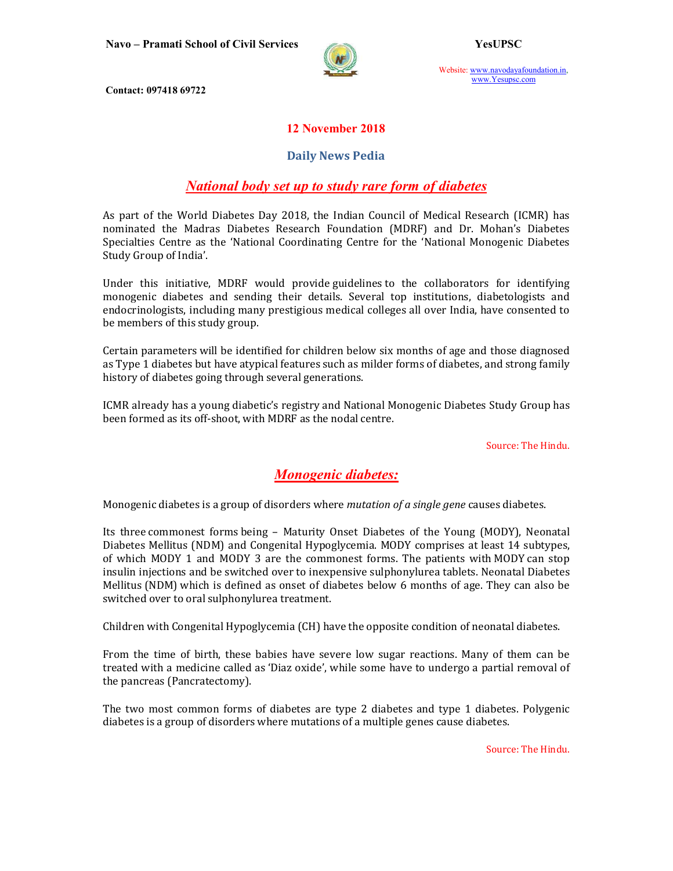

Website: www.navodayafoundation.in, www.Yesupsc.com

Contact: 097418 69722

#### 12 November 2018

#### Daily News Pedia

# National body set up to study rare form of diabetes

As part of the World Diabetes Day 2018, the Indian Council of Medical Research (ICMR) has nominated the Madras Diabetes Research Foundation (MDRF) and Dr. Mohan's Diabetes Specialties Centre as the 'National Coordinating Centre for the 'National Monogenic Diabetes Study Group of India'.

Under this initiative, MDRF would provide guidelines to the collaborators for identifying monogenic diabetes and sending their details. Several top institutions, diabetologists and endocrinologists, including many prestigious medical colleges all over India, have consented to be members of this study group.

Certain parameters will be identified for children below six months of age and those diagnosed as Type 1 diabetes but have atypical features such as milder forms of diabetes, and strong family history of diabetes going through several generations.

ICMR already has a young diabetic's registry and National Monogenic Diabetes Study Group has been formed as its off-shoot, with MDRF as the nodal centre.

Source: The Hindu.

# Monogenic diabetes:

Monogenic diabetes is a group of disorders where *mutation of a single gene* causes diabetes.

Its three commonest forms being – Maturity Onset Diabetes of the Young (MODY), Neonatal Diabetes Mellitus (NDM) and Congenital Hypoglycemia. MODY comprises at least 14 subtypes, of which MODY 1 and MODY 3 are the commonest forms. The patients with MODY can stop insulin injections and be switched over to inexpensive sulphonylurea tablets. Neonatal Diabetes Mellitus (NDM) which is defined as onset of diabetes below 6 months of age. They can also be switched over to oral sulphonylurea treatment.

Children with Congenital Hypoglycemia (CH) have the opposite condition of neonatal diabetes.

From the time of birth, these babies have severe low sugar reactions. Many of them can be treated with a medicine called as 'Diaz oxide', while some have to undergo a partial removal of the pancreas (Pancratectomy).

The two most common forms of diabetes are type 2 diabetes and type 1 diabetes. Polygenic diabetes is a group of disorders where mutations of a multiple genes cause diabetes.

Source: The Hindu.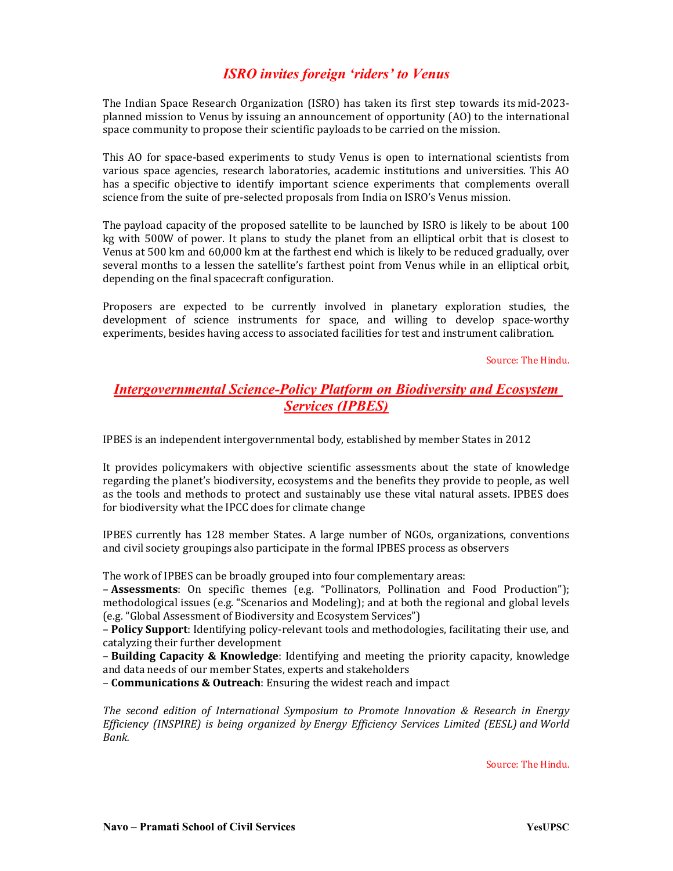# ISRO invites foreign 'riders' to Venus

The Indian Space Research Organization (ISRO) has taken its first step towards its mid-2023 planned mission to Venus by issuing an announcement of opportunity (AO) to the international space community to propose their scientific payloads to be carried on the mission.

This AO for space-based experiments to study Venus is open to international scientists from various space agencies, research laboratories, academic institutions and universities. This AO has a specific objective to identify important science experiments that complements overall science from the suite of pre-selected proposals from India on ISRO's Venus mission.

The payload capacity of the proposed satellite to be launched by ISRO is likely to be about 100 kg with 500W of power. It plans to study the planet from an elliptical orbit that is closest to Venus at 500 km and 60,000 km at the farthest end which is likely to be reduced gradually, over several months to a lessen the satellite's farthest point from Venus while in an elliptical orbit, depending on the final spacecraft configuration.

Proposers are expected to be currently involved in planetary exploration studies, the development of science instruments for space, and willing to develop space-worthy experiments, besides having access to associated facilities for test and instrument calibration.

Source: The Hindu.

## Intergovernmental Science-Policy Platform on Biodiversity and Ecosystem Services (IPBES)

IPBES is an independent intergovernmental body, established by member States in 2012

It provides policymakers with objective scientific assessments about the state of knowledge regarding the planet's biodiversity, ecosystems and the benefits they provide to people, as well as the tools and methods to protect and sustainably use these vital natural assets. IPBES does for biodiversity what the IPCC does for climate change

IPBES currently has 128 member States. A large number of NGOs, organizations, conventions and civil society groupings also participate in the formal IPBES process as observers

The work of IPBES can be broadly grouped into four complementary areas:

– Assessments: On specific themes (e.g. "Pollinators, Pollination and Food Production"); methodological issues (e.g. "Scenarios and Modeling); and at both the regional and global levels (e.g. "Global Assessment of Biodiversity and Ecosystem Services")

– Policy Support: Identifying policy-relevant tools and methodologies, facilitating their use, and catalyzing their further development

– Building Capacity & Knowledge: Identifying and meeting the priority capacity, knowledge and data needs of our member States, experts and stakeholders

– Communications & Outreach: Ensuring the widest reach and impact

The second edition of International Symposium to Promote Innovation & Research in Energy Efficiency (INSPIRE) is being organized by Energy Efficiency Services Limited (EESL) and World Bank.

Source: The Hindu.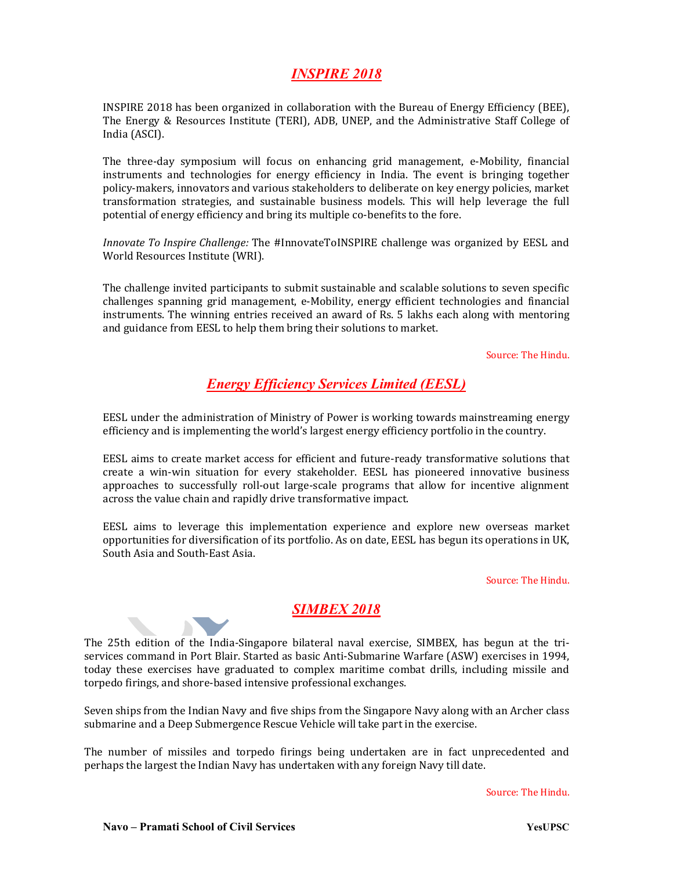# INSPIRE 2018

INSPIRE 2018 has been organized in collaboration with the Bureau of Energy Efficiency (BEE), The Energy & Resources Institute (TERI), ADB, UNEP, and the Administrative Staff College of India (ASCI).

The three-day symposium will focus on enhancing grid management, e-Mobility, financial instruments and technologies for energy efficiency in India. The event is bringing together policy-makers, innovators and various stakeholders to deliberate on key energy policies, market transformation strategies, and sustainable business models. This will help leverage the full potential of energy efficiency and bring its multiple co-benefits to the fore.

Innovate To Inspire Challenge: The #InnovateToINSPIRE challenge was organized by EESL and World Resources Institute (WRI).

The challenge invited participants to submit sustainable and scalable solutions to seven specific challenges spanning grid management, e-Mobility, energy efficient technologies and financial instruments. The winning entries received an award of Rs. 5 lakhs each along with mentoring and guidance from EESL to help them bring their solutions to market.

Source: The Hindu.

## Energy Efficiency Services Limited (EESL)

EESL under the administration of Ministry of Power is working towards mainstreaming energy efficiency and is implementing the world's largest energy efficiency portfolio in the country.

EESL aims to create market access for efficient and future-ready transformative solutions that create a win-win situation for every stakeholder. EESL has pioneered innovative business approaches to successfully roll-out large-scale programs that allow for incentive alignment across the value chain and rapidly drive transformative impact.

EESL aims to leverage this implementation experience and explore new overseas market opportunities for diversification of its portfolio. As on date, EESL has begun its operations in UK, South Asia and South-East Asia.

Source: The Hindu.

## **SIMBEX 2018**

The 25th edition of the India-Singapore bilateral naval exercise, SIMBEX, has begun at the triservices command in Port Blair. Started as basic Anti-Submarine Warfare (ASW) exercises in 1994, today these exercises have graduated to complex maritime combat drills, including missile and torpedo firings, and shore-based intensive professional exchanges.

Seven ships from the Indian Navy and five ships from the Singapore Navy along with an Archer class submarine and a Deep Submergence Rescue Vehicle will take part in the exercise.

The number of missiles and torpedo firings being undertaken are in fact unprecedented and perhaps the largest the Indian Navy has undertaken with any foreign Navy till date.

Source: The Hindu.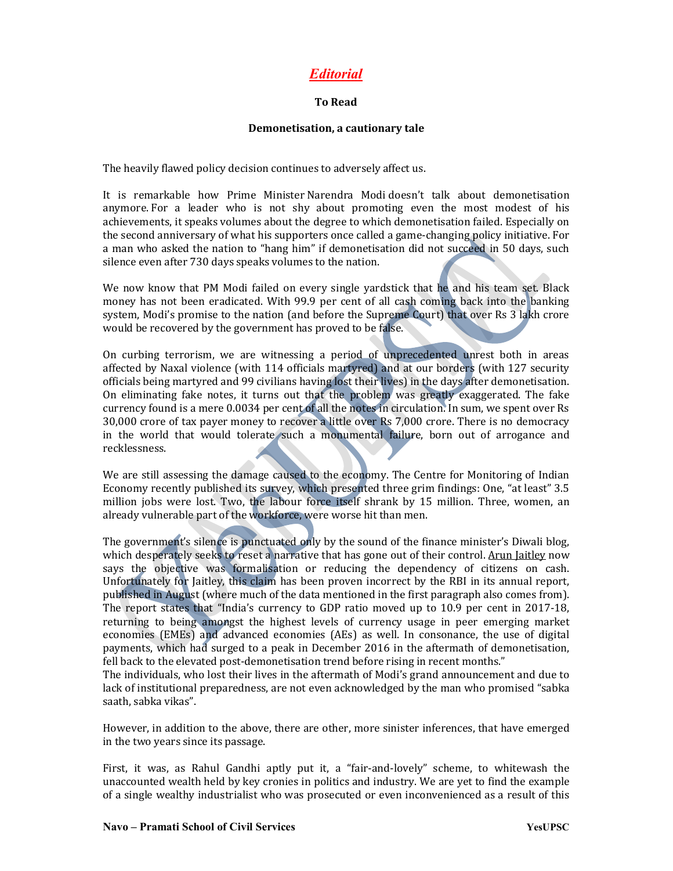# Editorial

#### To Read

#### Demonetisation, a cautionary tale

The heavily flawed policy decision continues to adversely affect us.

It is remarkable how Prime Minister Narendra Modi doesn't talk about demonetisation anymore. For a leader who is not shy about promoting even the most modest of his achievements, it speaks volumes about the degree to which demonetisation failed. Especially on the second anniversary of what his supporters once called a game-changing policy initiative. For a man who asked the nation to "hang him" if demonetisation did not succeed in 50 days, such silence even after 730 days speaks volumes to the nation.

We now know that PM Modi failed on every single yardstick that he and his team set. Black money has not been eradicated. With 99.9 per cent of all cash coming back into the banking system, Modi's promise to the nation (and before the Supreme Court) that over Rs 3 lakh crore would be recovered by the government has proved to be false.

On curbing terrorism, we are witnessing a period of unprecedented unrest both in areas affected by Naxal violence (with 114 officials martyred) and at our borders (with 127 security officials being martyred and 99 civilians having lost their lives) in the days after demonetisation. On eliminating fake notes, it turns out that the problem was greatly exaggerated. The fake currency found is a mere 0.0034 per cent of all the notes in circulation. In sum, we spent over Rs 30,000 crore of tax payer money to recover a little over Rs 7,000 crore. There is no democracy in the world that would tolerate such a monumental failure, born out of arrogance and recklessness.

We are still assessing the damage caused to the economy. The Centre for Monitoring of Indian Economy recently published its survey, which presented three grim findings: One, "at least" 3.5 million jobs were lost. Two, the labour force itself shrank by 15 million. Three, women, an already vulnerable part of the workforce, were worse hit than men.

The government's silence is punctuated only by the sound of the finance minister's Diwali blog, which desperately seeks to reset a narrative that has gone out of their control. Arun Jaitley now says the objective was formalisation or reducing the dependency of citizens on cash. Unfortunately for Jaitley, this claim has been proven incorrect by the RBI in its annual report, published in August (where much of the data mentioned in the first paragraph also comes from). The report states that "India's currency to GDP ratio moved up to 10.9 per cent in 2017-18, returning to being amongst the highest levels of currency usage in peer emerging market economies (EMEs) and advanced economies (AEs) as well. In consonance, the use of digital payments, which had surged to a peak in December 2016 in the aftermath of demonetisation, fell back to the elevated post-demonetisation trend before rising in recent months."

The individuals, who lost their lives in the aftermath of Modi's grand announcement and due to lack of institutional preparedness, are not even acknowledged by the man who promised "sabka saath, sabka vikas".

However, in addition to the above, there are other, more sinister inferences, that have emerged in the two years since its passage.

First, it was, as Rahul Gandhi aptly put it, a "fair-and-lovely" scheme, to whitewash the unaccounted wealth held by key cronies in politics and industry. We are yet to find the example of a single wealthy industrialist who was prosecuted or even inconvenienced as a result of this